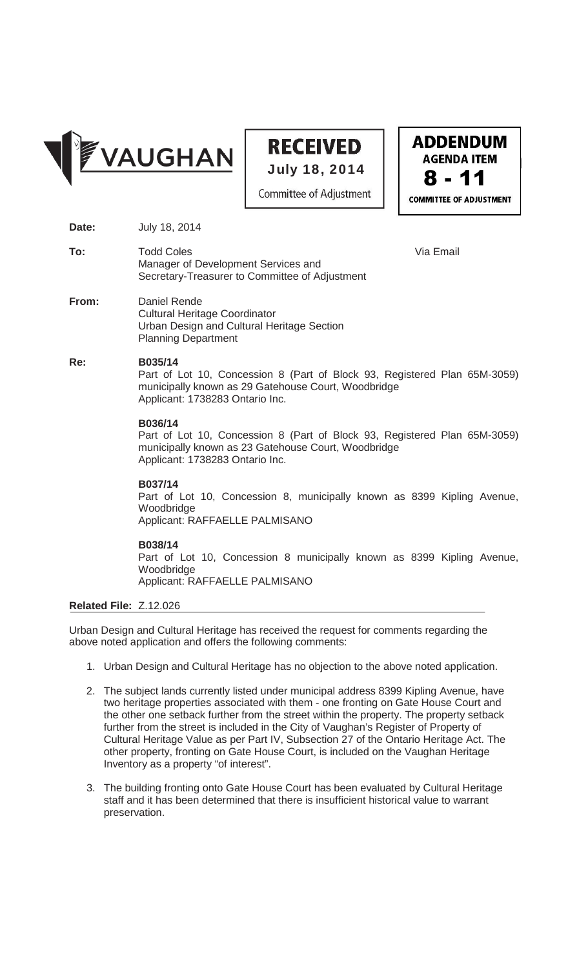

## **RECEIVED** July 18, 2014

Committee of Adjustment

**ADDENDUM AGENDA ITEM** 8 - 11**COMMITTEE OF ADJUSTMENT** 

- **Date:** July 18, 2014
- **To:** Todd Coles **Via Email** Manager of Development Services and Secretary-Treasurer to Committee of Adjustment
- **From:** Daniel Rende Cultural Heritage Coordinator Urban Design and Cultural Heritage Section Planning Department

#### **Re: B035/14**

Part of Lot 10, Concession 8 (Part of Block 93, Registered Plan 65M-3059) municipally known as 29 Gatehouse Court, Woodbridge Applicant: 1738283 Ontario Inc.

#### **B036/14**

Part of Lot 10, Concession 8 (Part of Block 93, Registered Plan 65M-3059) municipally known as 23 Gatehouse Court, Woodbridge Applicant: 1738283 Ontario Inc.

**B037/14** 

Part of Lot 10, Concession 8, municipally known as 8399 Kipling Avenue, Woodbridge Applicant: RAFFAELLE PALMISANO

**B038/14**

Part of Lot 10, Concession 8 municipally known as 8399 Kipling Avenue, Woodbridge

Applicant: RAFFAELLE PALMISANO

### **Related File:** Z.12.026

Urban Design and Cultural Heritage has received the request for comments regarding the above noted application and offers the following comments:

- 1. Urban Design and Cultural Heritage has no objection to the above noted application.
- 2. The subject lands currently listed under municipal address 8399 Kipling Avenue, have two heritage properties associated with them - one fronting on Gate House Court and the other one setback further from the street within the property. The property setback further from the street is included in the City of Vaughan's Register of Property of Cultural Heritage Value as per Part IV, Subsection 27 of the Ontario Heritage Act. The other property, fronting on Gate House Court, is included on the Vaughan Heritage Inventory as a property "of interest".
- 3. The building fronting onto Gate House Court has been evaluated by Cultural Heritage staff and it has been determined that there is insufficient historical value to warrant preservation.